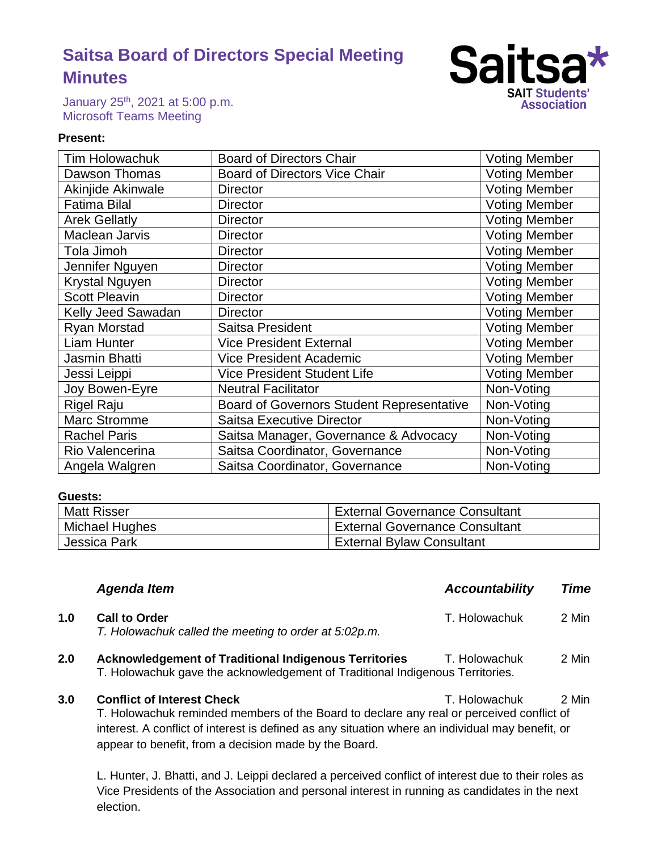# **Saitsa Board of Directors Special Meeting Minutes**



January 25th, 2021 at 5:00 p.m. Microsoft Teams Meeting

### **Present:**

| <b>Tim Holowachuk</b> | <b>Board of Directors Chair</b>                  | <b>Voting Member</b> |
|-----------------------|--------------------------------------------------|----------------------|
| Dawson Thomas         | <b>Board of Directors Vice Chair</b>             | <b>Voting Member</b> |
| Akinjide Akinwale     | <b>Director</b>                                  | <b>Voting Member</b> |
| <b>Fatima Bilal</b>   | <b>Director</b>                                  | <b>Voting Member</b> |
| <b>Arek Gellatly</b>  | <b>Director</b>                                  | <b>Voting Member</b> |
| <b>Maclean Jarvis</b> | <b>Director</b>                                  | <b>Voting Member</b> |
| Tola Jimoh            | <b>Director</b>                                  | <b>Voting Member</b> |
| Jennifer Nguyen       | <b>Director</b>                                  | <b>Voting Member</b> |
| <b>Krystal Nguyen</b> | <b>Director</b>                                  | <b>Voting Member</b> |
| <b>Scott Pleavin</b>  | <b>Director</b>                                  | <b>Voting Member</b> |
| Kelly Jeed Sawadan    | <b>Director</b>                                  | <b>Voting Member</b> |
| <b>Ryan Morstad</b>   | Saitsa President                                 | <b>Voting Member</b> |
| Liam Hunter           | <b>Vice President External</b>                   | <b>Voting Member</b> |
| Jasmin Bhatti         | <b>Vice President Academic</b>                   | <b>Voting Member</b> |
| Jessi Leippi          | <b>Vice President Student Life</b>               | <b>Voting Member</b> |
| Joy Bowen-Eyre        | <b>Neutral Facilitator</b>                       | Non-Voting           |
| <b>Rigel Raju</b>     | <b>Board of Governors Student Representative</b> | Non-Voting           |
| <b>Marc Stromme</b>   | Saitsa Executive Director                        | Non-Voting           |
| <b>Rachel Paris</b>   | Saitsa Manager, Governance & Advocacy            | Non-Voting           |
| Rio Valencerina       | Saitsa Coordinator, Governance                   | Non-Voting           |
| Angela Walgren        | Saitsa Coordinator, Governance                   | Non-Voting           |

### **Guests:**

| <b>Matt Risser</b> | <b>External Governance Consultant</b> |
|--------------------|---------------------------------------|
| Michael Hughes     | <b>External Governance Consultant</b> |
| Jessica Park       | <b>External Bylaw Consultant</b>      |

|     | <b>Agenda Item</b>                                                                                                                                             | <b>Accountability</b> | Time  |
|-----|----------------------------------------------------------------------------------------------------------------------------------------------------------------|-----------------------|-------|
| 1.0 | <b>Call to Order</b><br>T. Holowachuk called the meeting to order at 5:02p.m.                                                                                  | T. Holowachuk         | 2 Min |
| 2.0 | <b>Acknowledgement of Traditional Indigenous Territories</b><br>T. Holowachuk<br>T. Holowachuk gave the acknowledgement of Traditional Indigenous Territories. |                       | 2 Min |
| 3.0 | <b>Conflict of Interest Check</b><br>T. Holowachuk reminded members of the Board to declare any real or perceived conflict of                                  | T. Holowachuk         | 2 Min |

interest. A conflict of interest is defined as any situation where an individual may benefit, or appear to benefit, from a decision made by the Board.

L. Hunter, J. Bhatti, and J. Leippi declared a perceived conflict of interest due to their roles as Vice Presidents of the Association and personal interest in running as candidates in the next election.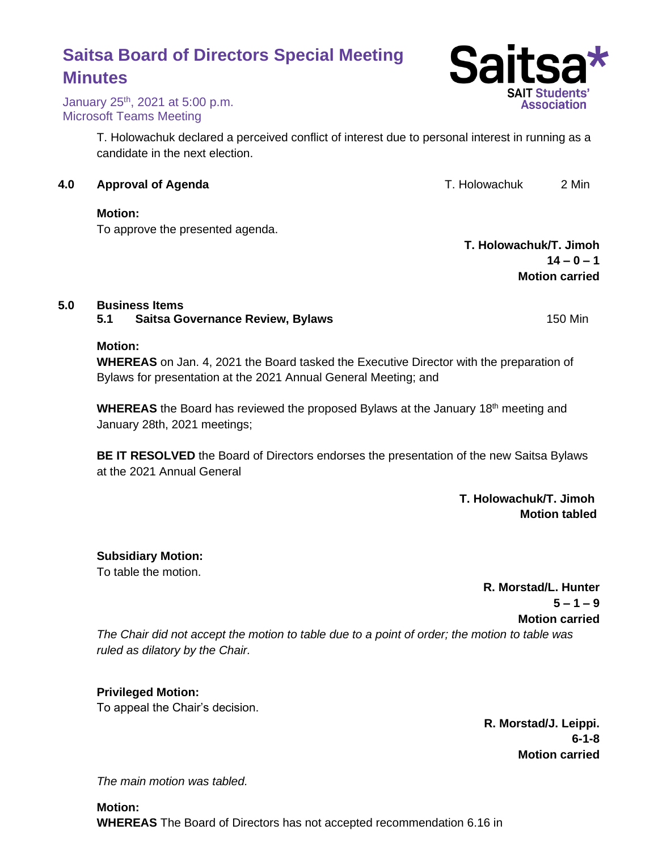# **Motion:** To approve the presented agenda.

T. Holowachuk declared a perceived conflict of interest due to personal interest in running as a candidate in the next election.

**5.0 Business Items**

**5.1 Saitsa Governance Review, Bylaws** 150 Min

# **Motion:**

**WHEREAS** on Jan. 4, 2021 the Board tasked the Executive Director with the preparation of Bylaws for presentation at the 2021 Annual General Meeting; and

**WHEREAS** the Board has reviewed the proposed Bylaws at the January 18th meeting and January 28th, 2021 meetings;

**BE IT RESOLVED** the Board of Directors endorses the presentation of the new Saitsa Bylaws at the 2021 Annual General

> **T. Holowachuk/T. Jimoh Motion tabled**

**Subsidiary Motion:**

To table the motion.

**R. Morstad/L. Hunter**  $5 - 1 - 9$ **Motion carried**

*The Chair did not accept the motion to table due to a point of order; the motion to table was ruled as dilatory by the Chair.* 

**Privileged Motion:**

To appeal the Chair's decision.

**R. Morstad/J. Leippi. 6-1-8 Motion carried**

*The main motion was tabled.*

**Motion: WHEREAS** The Board of Directors has not accepted recommendation 6.16 in

# **Saitsa Board of Directors Special Meeting Minutes**

January 25th, 2021 at 5:00 p.m. Microsoft Teams Meeting

**4.0 Approval of Agenda** T. Holowachuk 2 Min

**T. Holowachuk/T. Jimoh**  $14 - 0 - 1$ **Motion carried**

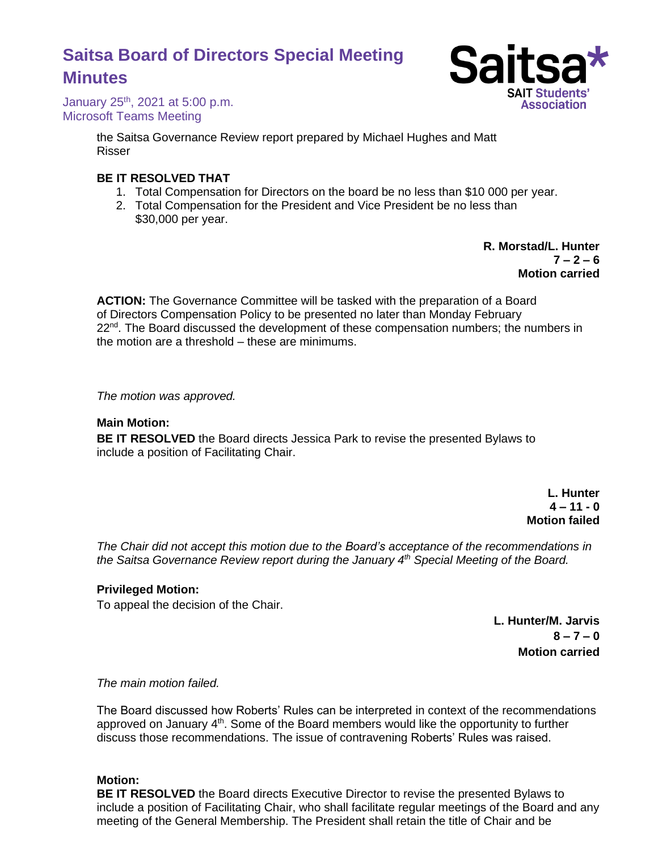# **Saitsa Board of Directors Special Meeting Minutes**



January 25th, 2021 at 5:00 p.m. Microsoft Teams Meeting

> the Saitsa Governance Review report prepared by Michael Hughes and Matt Risser

## **BE IT RESOLVED THAT**

- 1. Total Compensation for Directors on the board be no less than \$10 000 per year.
- 2. Total Compensation for the President and Vice President be no less than \$30,000 per year.

**R. Morstad/L. Hunter**  $7 - 2 - 6$ **Motion carried**

**ACTION:** The Governance Committee will be tasked with the preparation of a Board of Directors Compensation Policy to be presented no later than Monday February  $22<sup>nd</sup>$ . The Board discussed the development of these compensation numbers; the numbers in the motion are a threshold – these are minimums.

*The motion was approved.*

### **Main Motion:**

**BE IT RESOLVED** the Board directs Jessica Park to revise the presented Bylaws to include a position of Facilitating Chair.

> **L. Hunter 4 – 11 - 0 Motion failed**

*The Chair did not accept this motion due to the Board's acceptance of the recommendations in the Saitsa Governance Review report during the January 4th Special Meeting of the Board.* 

### **Privileged Motion:**

To appeal the decision of the Chair.

**L. Hunter/M. Jarvis 8 – 7 – 0 Motion carried**

*The main motion failed.*

The Board discussed how Roberts' Rules can be interpreted in context of the recommendations approved on January  $4<sup>th</sup>$ . Some of the Board members would like the opportunity to further discuss those recommendations. The issue of contravening Roberts' Rules was raised.

### **Motion:**

**BE IT RESOLVED** the Board directs Executive Director to revise the presented Bylaws to include a position of Facilitating Chair, who shall facilitate regular meetings of the Board and any meeting of the General Membership. The President shall retain the title of Chair and be